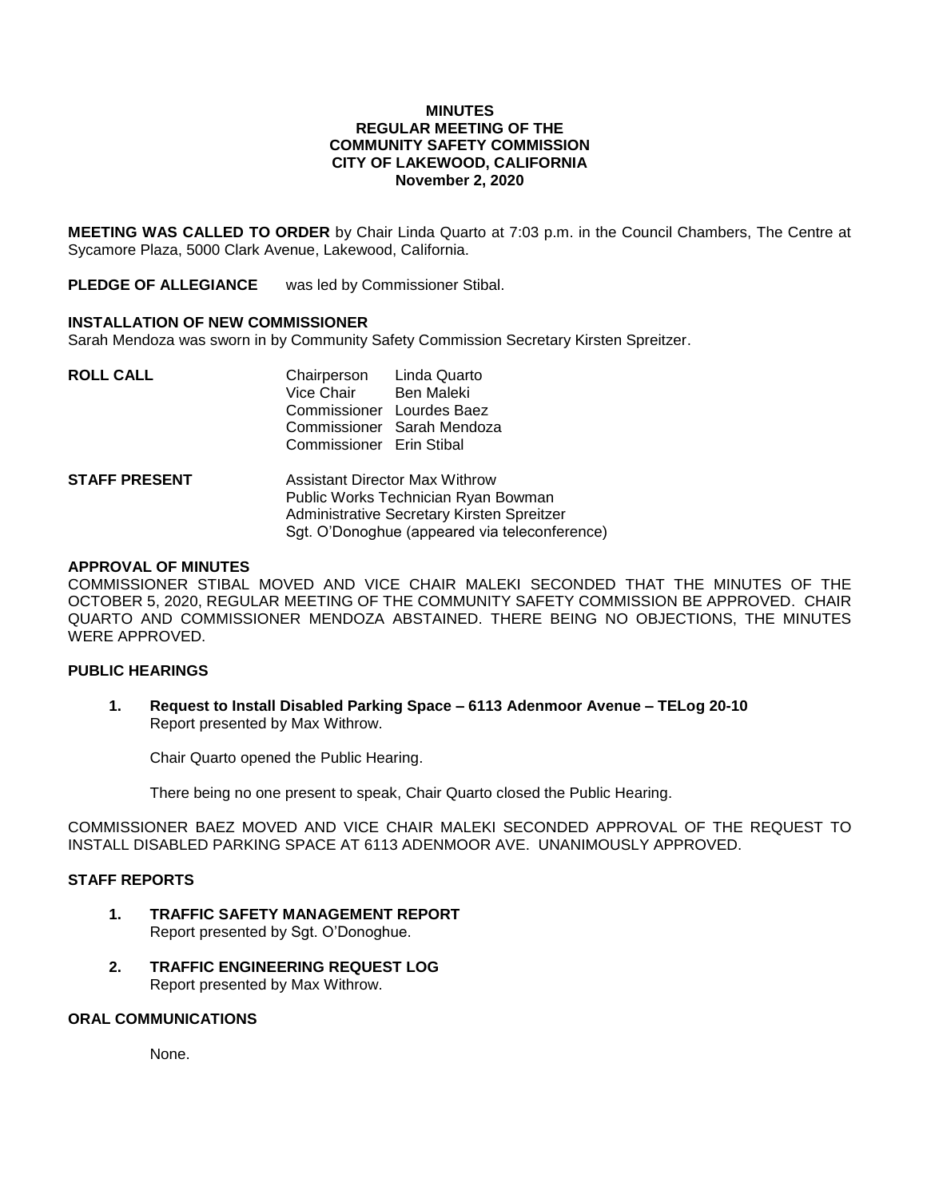#### **MINUTES REGULAR MEETING OF THE COMMUNITY SAFETY COMMISSION CITY OF LAKEWOOD, CALIFORNIA November 2, 2020**

**MEETING WAS CALLED TO ORDER** by Chair Linda Quarto at 7:03 p.m. in the Council Chambers, The Centre at Sycamore Plaza, 5000 Clark Avenue, Lakewood, California.

**PLEDGE OF ALLEGIANCE** was led by Commissioner Stibal.

# **INSTALLATION OF NEW COMMISSIONER**

Sarah Mendoza was sworn in by Community Safety Commission Secretary Kirsten Spreitzer.

| <b>ROLL CALL</b>     | Chairperson Linda Quarto<br>Vice Chair Ben Maleki<br>Commissioner Lourdes Baez<br>Commissioner Erin Stibal                                                           | Commissioner Sarah Mendoza |
|----------------------|----------------------------------------------------------------------------------------------------------------------------------------------------------------------|----------------------------|
| <b>STAFF PRESENT</b> | Assistant Director Max Withrow<br>Public Works Technician Ryan Bowman<br>Administrative Secretary Kirsten Spreitzer<br>Sgt. O'Donoghue (appeared via teleconference) |                            |

# **APPROVAL OF MINUTES**

COMMISSIONER STIBAL MOVED AND VICE CHAIR MALEKI SECONDED THAT THE MINUTES OF THE OCTOBER 5, 2020, REGULAR MEETING OF THE COMMUNITY SAFETY COMMISSION BE APPROVED. CHAIR QUARTO AND COMMISSIONER MENDOZA ABSTAINED. THERE BEING NO OBJECTIONS, THE MINUTES WERE APPROVED.

## **PUBLIC HEARINGS**

**1. Request to Install Disabled Parking Space – 6113 Adenmoor Avenue – TELog 20-10** Report presented by Max Withrow.

Chair Quarto opened the Public Hearing.

There being no one present to speak, Chair Quarto closed the Public Hearing.

COMMISSIONER BAEZ MOVED AND VICE CHAIR MALEKI SECONDED APPROVAL OF THE REQUEST TO INSTALL DISABLED PARKING SPACE AT 6113 ADENMOOR AVE. UNANIMOUSLY APPROVED.

#### **STAFF REPORTS**

- **1. TRAFFIC SAFETY MANAGEMENT REPORT** Report presented by Sgt. O'Donoghue.
- **2. TRAFFIC ENGINEERING REQUEST LOG** Report presented by Max Withrow.

#### **ORAL COMMUNICATIONS**

None.